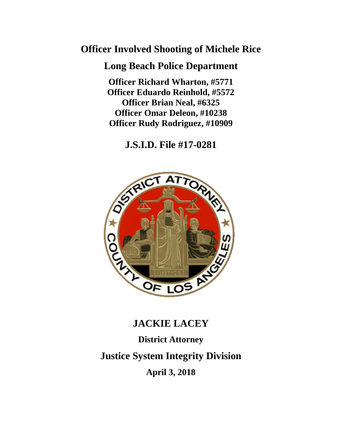## **Officer Involved Shooting of Michele Rice**

## **Long Beach Police Department**

**Officer Richard Wharton, #5771 Officer Eduardo Reinhold, #5572 Officer Brian Neal, #6325 Officer Omar Deleon, #10238 Officer Rudy Rodriguez, #10909**

**J.S.I.D. File #17-0281**



## **JACKIE LACEY**

# **District Attorney**

**Justice System Integrity Division**

**April 3, 2018**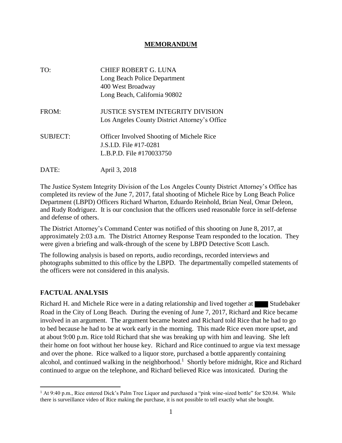#### **MEMORANDUM**

| TO:             | CHIEF ROBERT G. LUNA<br>Long Beach Police Department<br>400 West Broadway<br>Long Beach, California 90802 |
|-----------------|-----------------------------------------------------------------------------------------------------------|
| FROM:           | <b>JUSTICE SYSTEM INTEGRITY DIVISION</b><br>Los Angeles County District Attorney's Office                 |
| <b>SUBJECT:</b> | <b>Officer Involved Shooting of Michele Rice</b><br>J.S.I.D. File #17-0281<br>L.B.P.D. File #170033750    |
| DATE:           | April 3, 2018                                                                                             |

The Justice System Integrity Division of the Los Angeles County District Attorney's Office has completed its review of the June 7, 2017, fatal shooting of Michele Rice by Long Beach Police Department (LBPD) Officers Richard Wharton, Eduardo Reinhold, Brian Neal, Omar Deleon, and Rudy Rodriguez. It is our conclusion that the officers used reasonable force in self-defense and defense of others.

The District Attorney's Command Center was notified of this shooting on June 8, 2017, at approximately 2:03 a.m. The District Attorney Response Team responded to the location. They were given a briefing and walk-through of the scene by LBPD Detective Scott Lasch.

The following analysis is based on reports, audio recordings, recorded interviews and photographs submitted to this office by the LBPD. The departmentally compelled statements of the officers were not considered in this analysis.

#### **FACTUAL ANALYSIS**

 $\overline{a}$ 

Richard H. and Michele Rice were in a dating relationship and lived together at Studebaker Road in the City of Long Beach. During the evening of June 7, 2017, Richard and Rice became involved in an argument. The argument became heated and Richard told Rice that he had to go to bed because he had to be at work early in the morning. This made Rice even more upset, and at about 9:00 p.m. Rice told Richard that she was breaking up with him and leaving. She left their home on foot without her house key. Richard and Rice continued to argue via text message and over the phone. Rice walked to a liquor store, purchased a bottle apparently containing alcohol, and continued walking in the neighborhood.<sup>1</sup> Shortly before midnight, Rice and Richard continued to argue on the telephone, and Richard believed Rice was intoxicated. During the

<sup>&</sup>lt;sup>1</sup> At 9:40 p.m., Rice entered Dick's Palm Tree Liquor and purchased a "pink wine-sized bottle" for \$20.84. While there is surveillance video of Rice making the purchase, it is not possible to tell exactly what she bought.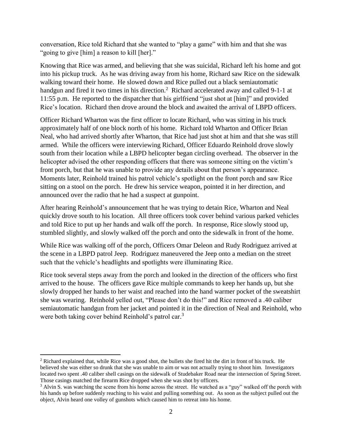conversation, Rice told Richard that she wanted to "play a game" with him and that she was "going to give [him] a reason to kill [her]."

Knowing that Rice was armed, and believing that she was suicidal, Richard left his home and got into his pickup truck. As he was driving away from his home, Richard saw Rice on the sidewalk walking toward their home. He slowed down and Rice pulled out a black semiautomatic handgun and fired it two times in his direction.<sup>2</sup> Richard accelerated away and called 9-1-1 at 11:55 p.m. He reported to the dispatcher that his girlfriend "just shot at [him]" and provided Rice's location. Richard then drove around the block and awaited the arrival of LBPD officers.

Officer Richard Wharton was the first officer to locate Richard, who was sitting in his truck approximately half of one block north of his home. Richard told Wharton and Officer Brian Neal, who had arrived shortly after Wharton, that Rice had just shot at him and that she was still armed. While the officers were interviewing Richard, Officer Eduardo Reinhold drove slowly south from their location while a LBPD helicopter began circling overhead. The observer in the helicopter advised the other responding officers that there was someone sitting on the victim's front porch, but that he was unable to provide any details about that person's appearance. Moments later, Reinhold trained his patrol vehicle's spotlight on the front porch and saw Rice sitting on a stool on the porch. He drew his service weapon, pointed it in her direction, and announced over the radio that he had a suspect at gunpoint.

After hearing Reinhold's announcement that he was trying to detain Rice, Wharton and Neal quickly drove south to his location. All three officers took cover behind various parked vehicles and told Rice to put up her hands and walk off the porch. In response, Rice slowly stood up, stumbled slightly, and slowly walked off the porch and onto the sidewalk in front of the home.

While Rice was walking off of the porch, Officers Omar Deleon and Rudy Rodriguez arrived at the scene in a LBPD patrol Jeep. Rodriguez maneuvered the Jeep onto a median on the street such that the vehicle's headlights and spotlights were illuminating Rice.

Rice took several steps away from the porch and looked in the direction of the officers who first arrived to the house. The officers gave Rice multiple commands to keep her hands up, but she slowly dropped her hands to her waist and reached into the hand warmer pocket of the sweatshirt she was wearing. Reinhold yelled out, "Please don't do this!" and Rice removed a .40 caliber semiautomatic handgun from her jacket and pointed it in the direction of Neal and Reinhold, who were both taking cover behind Reinhold's patrol car.<sup>3</sup>

 $\overline{\phantom{a}}$ <sup>2</sup> Richard explained that, while Rice was a good shot, the bullets she fired hit the dirt in front of his truck. He believed she was either so drunk that she was unable to aim or was not actually trying to shoot him. Investigators located two spent .40 caliber shell casings on the sidewalk of Studebaker Road near the intersection of Spring Street. Those casings matched the firearm Rice dropped when she was shot by officers.

<sup>&</sup>lt;sup>3</sup> Alvin S. was watching the scene from his home across the street. He watched as a "guy" walked off the porch with his hands up before suddenly reaching to his waist and pulling something out. As soon as the subject pulled out the object, Alvin heard one volley of gunshots which caused him to retreat into his home.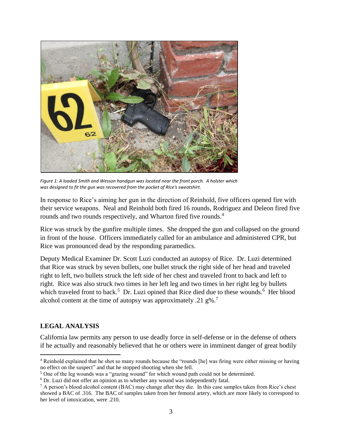

*Figure 1: A loaded Smith and Wesson handgun was located near the front porch. A holster which was designed to fit the gun was recovered from the pocket of RIce's sweatshirt.*

In response to Rice's aiming her gun in the direction of Reinhold, five officers opened fire with their service weapons. Neal and Reinhold both fired 16 rounds, Rodriguez and Deleon fired five rounds and two rounds respectively, and Wharton fired five rounds.<sup>4</sup>

Rice was struck by the gunfire multiple times. She dropped the gun and collapsed on the ground in front of the house. Officers immediately called for an ambulance and administered CPR, but Rice was pronounced dead by the responding paramedics.

Deputy Medical Examiner Dr. Scott Luzi conducted an autopsy of Rice. Dr. Luzi determined that Rice was struck by seven bullets, one bullet struck the right side of her head and traveled right to left, two bullets struck the left side of her chest and traveled front to back and left to right. Rice was also struck two times in her left leg and two times in her right leg by bullets which traveled front to back.<sup>5</sup> Dr. Luzi opined that Rice died due to these wounds.<sup>6</sup> Her blood alcohol content at the time of autopsy was approximately .21 g%.<sup>7</sup>

#### **LEGAL ANALYSIS**

California law permits any person to use deadly force in self-defense or in the defense of others if he actually and reasonably believed that he or others were in imminent danger of great bodily

 $\overline{\phantom{a}}$ <sup>4</sup> Reinhold explained that he shot so many rounds because the "rounds [he] was firing were either missing or having no effect on the suspect" and that he stopped shooting when she fell.

<sup>5</sup> One of the leg wounds was a "grazing wound" for which wound path could not be determined.

 $6$  Dr. Luzi did not offer an opinion as to whether any wound was independently fatal.

<sup>&</sup>lt;sup>7</sup> A person's blood alcohol content (BAC) may change after they die. In this case samples taken from Rice's chest showed a BAC of .316. The BAC of samples taken from her femoral artery, which are more likely to correspond to her level of intoxication, were .210.